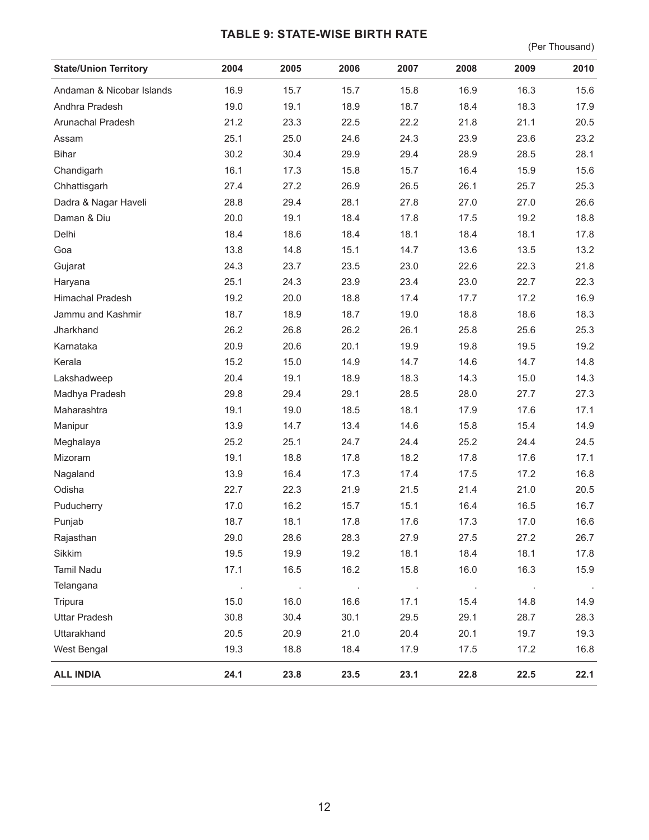## **TABLE 9: STATE-WISE BIRTH RATE**

(Per Thousand)

| <b>State/Union Territory</b> | 2004 | 2005    | 2006    | 2007    | 2008    | 2009 | 2010 |
|------------------------------|------|---------|---------|---------|---------|------|------|
| Andaman & Nicobar Islands    | 16.9 | 15.7    | 15.7    | 15.8    | 16.9    | 16.3 | 15.6 |
| Andhra Pradesh               | 19.0 | 19.1    | 18.9    | 18.7    | 18.4    | 18.3 | 17.9 |
| Arunachal Pradesh            | 21.2 | 23.3    | 22.5    | 22.2    | 21.8    | 21.1 | 20.5 |
| Assam                        | 25.1 | 25.0    | 24.6    | 24.3    | 23.9    | 23.6 | 23.2 |
| <b>Bihar</b>                 | 30.2 | 30.4    | 29.9    | 29.4    | 28.9    | 28.5 | 28.1 |
| Chandigarh                   | 16.1 | 17.3    | 15.8    | 15.7    | 16.4    | 15.9 | 15.6 |
| Chhattisgarh                 | 27.4 | 27.2    | 26.9    | 26.5    | 26.1    | 25.7 | 25.3 |
| Dadra & Nagar Haveli         | 28.8 | 29.4    | 28.1    | 27.8    | 27.0    | 27.0 | 26.6 |
| Daman & Diu                  | 20.0 | 19.1    | 18.4    | 17.8    | 17.5    | 19.2 | 18.8 |
| Delhi                        | 18.4 | 18.6    | 18.4    | 18.1    | 18.4    | 18.1 | 17.8 |
| Goa                          | 13.8 | 14.8    | 15.1    | 14.7    | 13.6    | 13.5 | 13.2 |
| Gujarat                      | 24.3 | 23.7    | 23.5    | 23.0    | 22.6    | 22.3 | 21.8 |
| Haryana                      | 25.1 | 24.3    | 23.9    | 23.4    | 23.0    | 22.7 | 22.3 |
| Himachal Pradesh             | 19.2 | 20.0    | 18.8    | 17.4    | 17.7    | 17.2 | 16.9 |
| Jammu and Kashmir            | 18.7 | 18.9    | 18.7    | 19.0    | 18.8    | 18.6 | 18.3 |
| Jharkhand                    | 26.2 | 26.8    | 26.2    | 26.1    | 25.8    | 25.6 | 25.3 |
| Karnataka                    | 20.9 | 20.6    | 20.1    | 19.9    | 19.8    | 19.5 | 19.2 |
| Kerala                       | 15.2 | 15.0    | 14.9    | 14.7    | 14.6    | 14.7 | 14.8 |
| Lakshadweep                  | 20.4 | 19.1    | 18.9    | 18.3    | 14.3    | 15.0 | 14.3 |
| Madhya Pradesh               | 29.8 | 29.4    | 29.1    | 28.5    | 28.0    | 27.7 | 27.3 |
| Maharashtra                  | 19.1 | 19.0    | 18.5    | 18.1    | 17.9    | 17.6 | 17.1 |
| Manipur                      | 13.9 | 14.7    | 13.4    | 14.6    | 15.8    | 15.4 | 14.9 |
| Meghalaya                    | 25.2 | 25.1    | 24.7    | 24.4    | 25.2    | 24.4 | 24.5 |
| Mizoram                      | 19.1 | 18.8    | 17.8    | 18.2    | 17.8    | 17.6 | 17.1 |
| Nagaland                     | 13.9 | 16.4    | 17.3    | 17.4    | 17.5    | 17.2 | 16.8 |
| Odisha                       | 22.7 | 22.3    | 21.9    | 21.5    | 21.4    | 21.0 | 20.5 |
| Puducherry                   | 17.0 | 16.2    | 15.7    | 15.1    | 16.4    | 16.5 | 16.7 |
| Punjab                       | 18.7 | 18.1    | 17.8    | 17.6    | 17.3    | 17.0 | 16.6 |
| Rajasthan                    | 29.0 | 28.6    | 28.3    | 27.9    | 27.5    | 27.2 | 26.7 |
| Sikkim                       | 19.5 | 19.9    | 19.2    | 18.1    | 18.4    | 18.1 | 17.8 |
| Tamil Nadu                   | 17.1 | 16.5    | 16.2    | 15.8    | 16.0    | 16.3 | 15.9 |
| Telangana                    |      | $\cdot$ | $\cdot$ | $\cdot$ | $\cdot$ |      |      |
| Tripura                      | 15.0 | 16.0    | 16.6    | 17.1    | 15.4    | 14.8 | 14.9 |
| <b>Uttar Pradesh</b>         | 30.8 | 30.4    | 30.1    | 29.5    | 29.1    | 28.7 | 28.3 |
| Uttarakhand                  | 20.5 | 20.9    | 21.0    | 20.4    | 20.1    | 19.7 | 19.3 |
| West Bengal                  | 19.3 | 18.8    | 18.4    | 17.9    | 17.5    | 17.2 | 16.8 |
| <b>ALL INDIA</b>             | 24.1 | 23.8    | 23.5    | 23.1    | 22.8    | 22.5 | 22.1 |